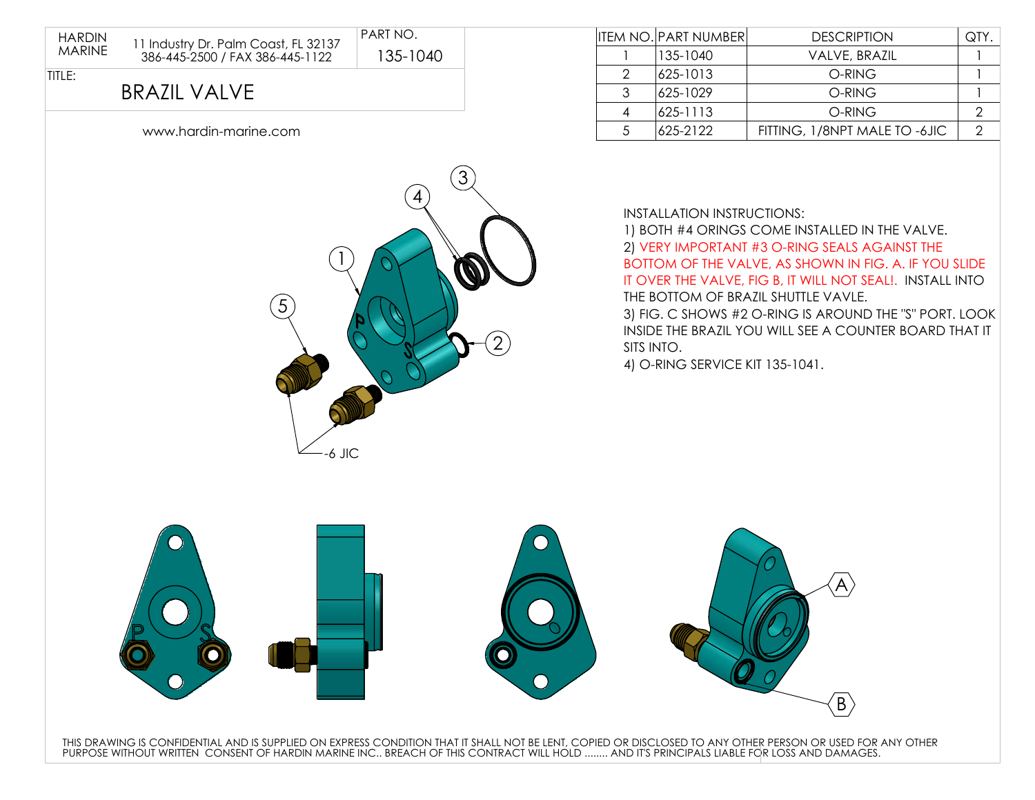

| www.hardin-marine.com |  |  |
|-----------------------|--|--|
|                       |  |  |
|                       |  |  |



|               | <b>ITEM NO. PART NUMBER</b> | <b>DESCRIPTION</b>            | QTY |
|---------------|-----------------------------|-------------------------------|-----|
|               | 135-1040                    | VALVE, BRAZIL                 |     |
| $\mathcal{P}$ | 625-1013                    | O-RING                        |     |
| 3             | 625-1029                    | O-RING                        |     |
|               | 625-1113                    | O-RING                        |     |
|               | 625-2122                    | FITTING, 1/8NPT MALE TO -6JIC |     |

INSTALLATION INSTRUCTIONS:

1) BOTH #4 ORINGS COME INSTALLED IN THE VALVE. 2) VERY IMPORTANT #3 O-RING SEALS AGAINST THE BOTTOM OF THE VALVE, AS SHOWN IN FIG. A. IF YOU SLIDE IT OVER THE VALVE, FIG B, IT WILL NOT SEAL!. INSTALL INTO THE BOTTOM OF BRAZIL SHUTTLE VAVLE. 3) FIG. C SHOWS #2 O-RING IS AROUND THE "S" PORT. LOOK INSIDE THE BRAZIL YOU WILL SEE A COUNTER BOARD THAT IT

SITS INTO.

4) O-RING SERVICE KIT 135-1041.



THIS DRAWING IS CONFIDENTIAL AND IS SUPPLIED ON EXPRESS CONDITION THAT IT SHALL NOT BE LENT, COPIED OR DISCLOSED TO ANY OTHER PERSON OR USED FOR ANY OTHER<br>PURPOSE WITHOUT WRITTEN CONSENT OF HARDIN MARINE INC.. BREACH OF T